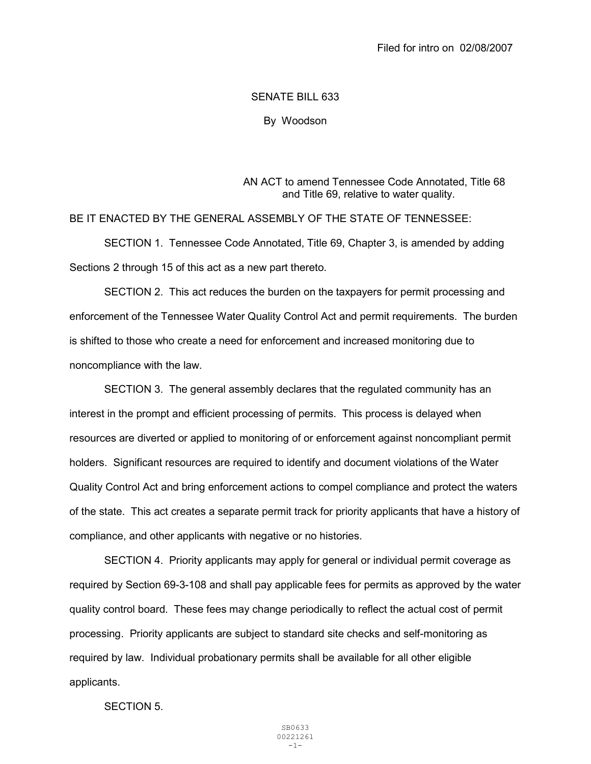## SENATE BILL 633

By Woodson

AN ACT to amend Tennessee Code Annotated, Title 68 and Title 69, relative to water quality.

BE IT ENACTED BY THE GENERAL ASSEMBLY OF THE STATE OF TENNESSEE:

 SECTION 1. Tennessee Code Annotated, Title 69, Chapter 3, is amended by adding Sections 2 through 15 of this act as a new part thereto.

 SECTION 2. This act reduces the burden on the taxpayers for permit processing and enforcement of the Tennessee Water Quality Control Act and permit requirements. The burden is shifted to those who create a need for enforcement and increased monitoring due to noncompliance with the law.

 SECTION 3. The general assembly declares that the regulated community has an interest in the prompt and efficient processing of permits. This process is delayed when resources are diverted or applied to monitoring of or enforcement against noncompliant permit holders. Significant resources are required to identify and document violations of the Water Quality Control Act and bring enforcement actions to compel compliance and protect the waters of the state. This act creates a separate permit track for priority applicants that have a history of compliance, and other applicants with negative or no histories.

 SECTION 4. Priority applicants may apply for general or individual permit coverage as required by Section 69-3-108 and shall pay applicable fees for permits as approved by the water quality control board. These fees may change periodically to reflect the actual cost of permit processing. Priority applicants are subject to standard site checks and self-monitoring as required by law. Individual probationary permits shall be available for all other eligible applicants.

SECTION 5.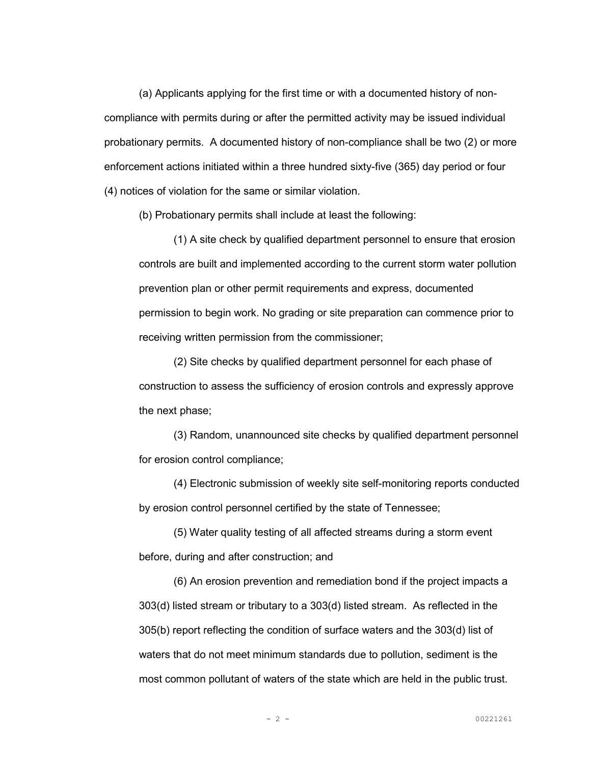(a) Applicants applying for the first time or with a documented history of noncompliance with permits during or after the permitted activity may be issued individual probationary permits. A documented history of non-compliance shall be two (2) or more enforcement actions initiated within a three hundred sixty-five (365) day period or four (4) notices of violation for the same or similar violation.

(b) Probationary permits shall include at least the following:

 (1) A site check by qualified department personnel to ensure that erosion controls are built and implemented according to the current storm water pollution prevention plan or other permit requirements and express, documented permission to begin work. No grading or site preparation can commence prior to receiving written permission from the commissioner;

 (2) Site checks by qualified department personnel for each phase of construction to assess the sufficiency of erosion controls and expressly approve the next phase;

 (3) Random, unannounced site checks by qualified department personnel for erosion control compliance;

 (4) Electronic submission of weekly site self-monitoring reports conducted by erosion control personnel certified by the state of Tennessee;

 (5) Water quality testing of all affected streams during a storm event before, during and after construction; and

 (6) An erosion prevention and remediation bond if the project impacts a 303(d) listed stream or tributary to a 303(d) listed stream. As reflected in the 305(b) report reflecting the condition of surface waters and the 303(d) list of waters that do not meet minimum standards due to pollution, sediment is the most common pollutant of waters of the state which are held in the public trust.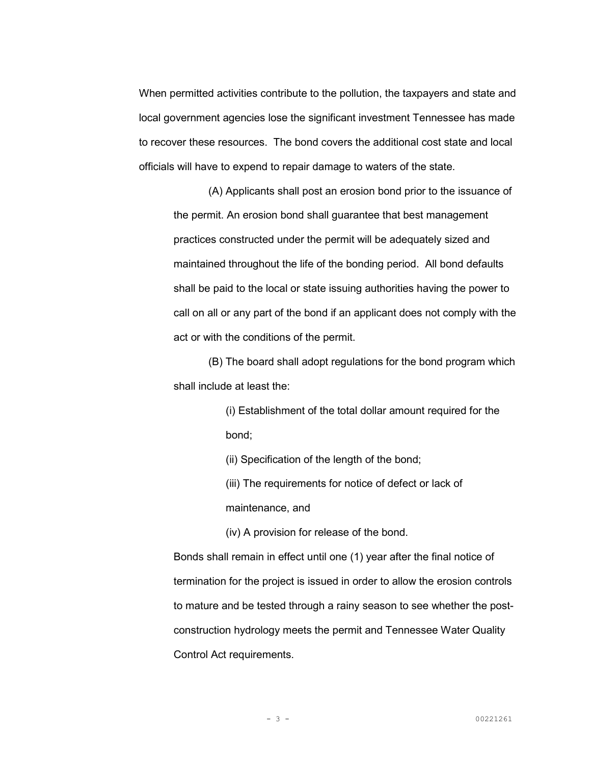When permitted activities contribute to the pollution, the taxpayers and state and local government agencies lose the significant investment Tennessee has made to recover these resources. The bond covers the additional cost state and local officials will have to expend to repair damage to waters of the state.

 (A) Applicants shall post an erosion bond prior to the issuance of the permit. An erosion bond shall guarantee that best management practices constructed under the permit will be adequately sized and maintained throughout the life of the bonding period. All bond defaults shall be paid to the local or state issuing authorities having the power to call on all or any part of the bond if an applicant does not comply with the act or with the conditions of the permit.

 (B) The board shall adopt regulations for the bond program which shall include at least the:

> (i) Establishment of the total dollar amount required for the bond;

(ii) Specification of the length of the bond;

(iii) The requirements for notice of defect or lack of maintenance, and

(iv) A provision for release of the bond.

Bonds shall remain in effect until one (1) year after the final notice of termination for the project is issued in order to allow the erosion controls to mature and be tested through a rainy season to see whether the postconstruction hydrology meets the permit and Tennessee Water Quality Control Act requirements.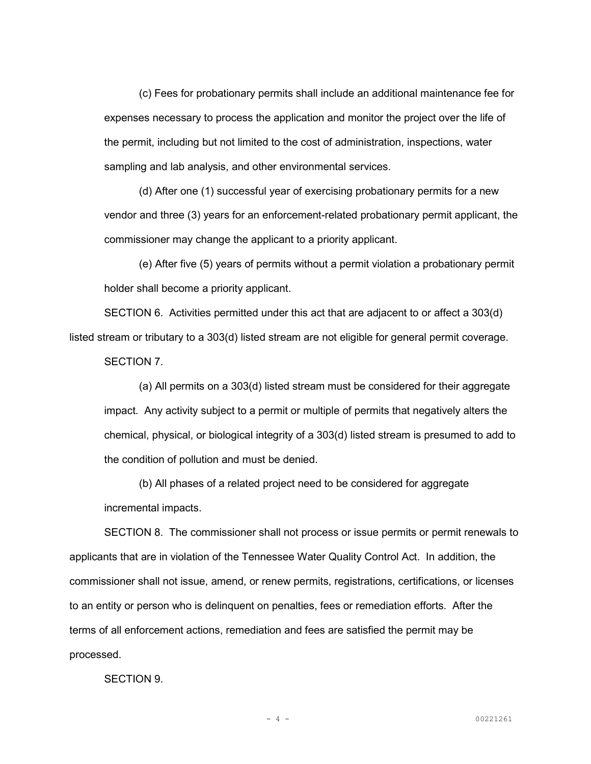(c) Fees for probationary permits shall include an additional maintenance fee for expenses necessary to process the application and monitor the project over the life of the permit, including but not limited to the cost of administration, inspections, water sampling and lab analysis, and other environmental services.

 (d) After one (1) successful year of exercising probationary permits for a new vendor and three (3) years for an enforcement-related probationary permit applicant, the commissioner may change the applicant to a priority applicant.

 (e) After five (5) years of permits without a permit violation a probationary permit holder shall become a priority applicant.

 SECTION 6. Activities permitted under this act that are adjacent to or affect a 303(d) listed stream or tributary to a 303(d) listed stream are not eligible for general permit coverage.

SECTION 7.

 (a) All permits on a 303(d) listed stream must be considered for their aggregate impact. Any activity subject to a permit or multiple of permits that negatively alters the chemical, physical, or biological integrity of a 303(d) listed stream is presumed to add to the condition of pollution and must be denied.

 (b) All phases of a related project need to be considered for aggregate incremental impacts.

 SECTION 8. The commissioner shall not process or issue permits or permit renewals to applicants that are in violation of the Tennessee Water Quality Control Act. In addition, the commissioner shall not issue, amend, or renew permits, registrations, certifications, or licenses to an entity or person who is delinquent on penalties, fees or remediation efforts. After the terms of all enforcement actions, remediation and fees are satisfied the permit may be processed.

SECTION 9.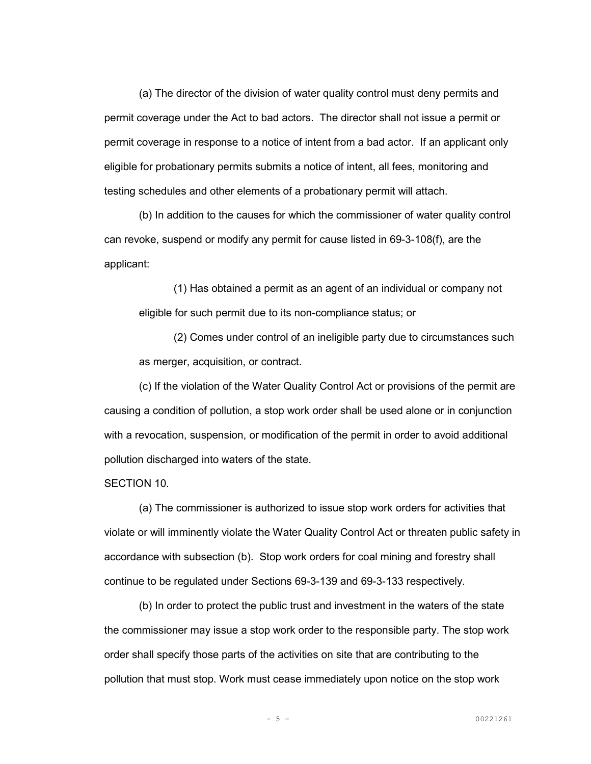(a) The director of the division of water quality control must deny permits and permit coverage under the Act to bad actors. The director shall not issue a permit or permit coverage in response to a notice of intent from a bad actor. If an applicant only eligible for probationary permits submits a notice of intent, all fees, monitoring and testing schedules and other elements of a probationary permit will attach.

 (b) In addition to the causes for which the commissioner of water quality control can revoke, suspend or modify any permit for cause listed in 69-3-108(f), are the applicant:

 (1) Has obtained a permit as an agent of an individual or company not eligible for such permit due to its non-compliance status; or

 (2) Comes under control of an ineligible party due to circumstances such as merger, acquisition, or contract.

 (c) If the violation of the Water Quality Control Act or provisions of the permit are causing a condition of pollution, a stop work order shall be used alone or in conjunction with a revocation, suspension, or modification of the permit in order to avoid additional pollution discharged into waters of the state.

SECTION 10.

 (a) The commissioner is authorized to issue stop work orders for activities that violate or will imminently violate the Water Quality Control Act or threaten public safety in accordance with subsection (b). Stop work orders for coal mining and forestry shall continue to be regulated under Sections 69-3-139 and 69-3-133 respectively.

 (b) In order to protect the public trust and investment in the waters of the state the commissioner may issue a stop work order to the responsible party. The stop work order shall specify those parts of the activities on site that are contributing to the pollution that must stop. Work must cease immediately upon notice on the stop work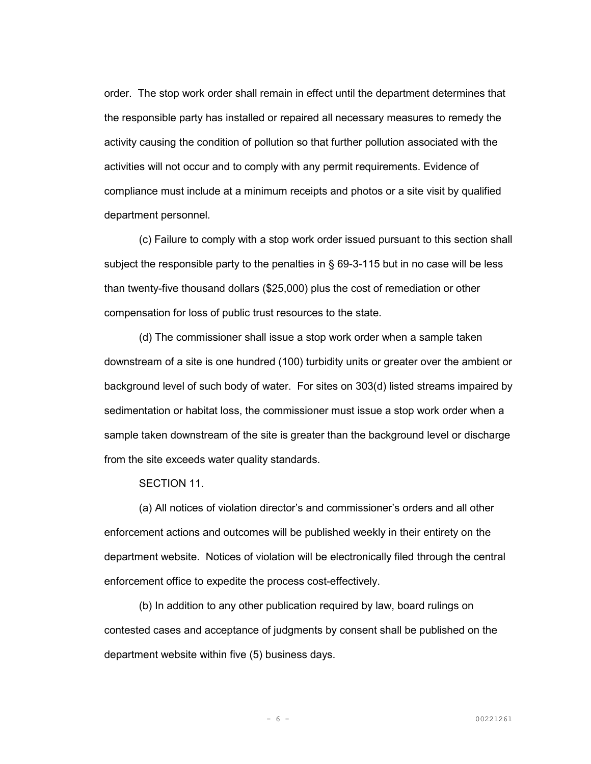order. The stop work order shall remain in effect until the department determines that the responsible party has installed or repaired all necessary measures to remedy the activity causing the condition of pollution so that further pollution associated with the activities will not occur and to comply with any permit requirements. Evidence of compliance must include at a minimum receipts and photos or a site visit by qualified department personnel.

 (c) Failure to comply with a stop work order issued pursuant to this section shall subject the responsible party to the penalties in § 69-3-115 but in no case will be less than twenty-five thousand dollars (\$25,000) plus the cost of remediation or other compensation for loss of public trust resources to the state.

 (d) The commissioner shall issue a stop work order when a sample taken downstream of a site is one hundred (100) turbidity units or greater over the ambient or background level of such body of water. For sites on 303(d) listed streams impaired by sedimentation or habitat loss, the commissioner must issue a stop work order when a sample taken downstream of the site is greater than the background level or discharge from the site exceeds water quality standards.

SECTION 11.

(a) All notices of violation director's and commissioner's orders and all other enforcement actions and outcomes will be published weekly in their entirety on the department website. Notices of violation will be electronically filed through the central enforcement office to expedite the process cost-effectively.

(b) In addition to any other publication required by law, board rulings on contested cases and acceptance of judgments by consent shall be published on the department website within five (5) business days.

- 6 - 00221261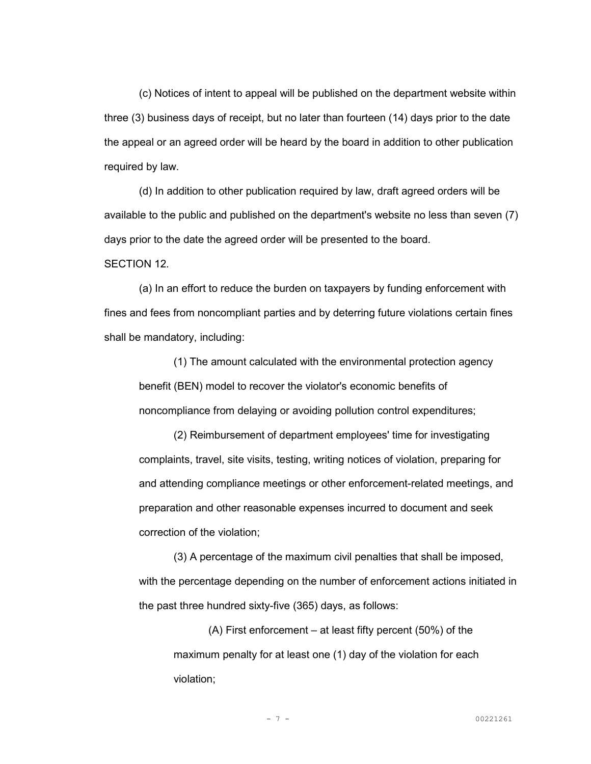(c) Notices of intent to appeal will be published on the department website within three (3) business days of receipt, but no later than fourteen (14) days prior to the date the appeal or an agreed order will be heard by the board in addition to other publication required by law.

(d) In addition to other publication required by law, draft agreed orders will be available to the public and published on the department's website no less than seven (7) days prior to the date the agreed order will be presented to the board.

SECTION 12.

 (a) In an effort to reduce the burden on taxpayers by funding enforcement with fines and fees from noncompliant parties and by deterring future violations certain fines shall be mandatory, including:

 (1) The amount calculated with the environmental protection agency benefit (BEN) model to recover the violator's economic benefits of noncompliance from delaying or avoiding pollution control expenditures;

 (2) Reimbursement of department employees' time for investigating complaints, travel, site visits, testing, writing notices of violation, preparing for and attending compliance meetings or other enforcement-related meetings, and preparation and other reasonable expenses incurred to document and seek correction of the violation;

 (3) A percentage of the maximum civil penalties that shall be imposed, with the percentage depending on the number of enforcement actions initiated in the past three hundred sixty-five (365) days, as follows:

 (A) First enforcement – at least fifty percent (50%) of the maximum penalty for at least one (1) day of the violation for each violation;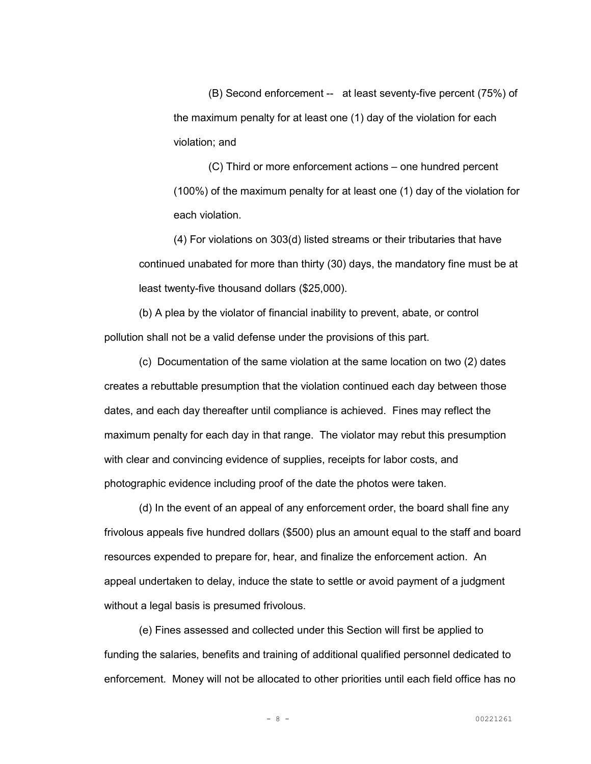(B) Second enforcement -- at least seventy-five percent (75%) of the maximum penalty for at least one (1) day of the violation for each violation; and

 (C) Third or more enforcement actions – one hundred percent (100%) of the maximum penalty for at least one (1) day of the violation for each violation.

 (4) For violations on 303(d) listed streams or their tributaries that have continued unabated for more than thirty (30) days, the mandatory fine must be at least twenty-five thousand dollars (\$25,000).

 (b) A plea by the violator of financial inability to prevent, abate, or control pollution shall not be a valid defense under the provisions of this part.

 (c) Documentation of the same violation at the same location on two (2) dates creates a rebuttable presumption that the violation continued each day between those dates, and each day thereafter until compliance is achieved. Fines may reflect the maximum penalty for each day in that range. The violator may rebut this presumption with clear and convincing evidence of supplies, receipts for labor costs, and photographic evidence including proof of the date the photos were taken.

(d) In the event of an appeal of any enforcement order, the board shall fine any frivolous appeals five hundred dollars (\$500) plus an amount equal to the staff and board resources expended to prepare for, hear, and finalize the enforcement action. An appeal undertaken to delay, induce the state to settle or avoid payment of a judgment without a legal basis is presumed frivolous.

(e) Fines assessed and collected under this Section will first be applied to funding the salaries, benefits and training of additional qualified personnel dedicated to enforcement. Money will not be allocated to other priorities until each field office has no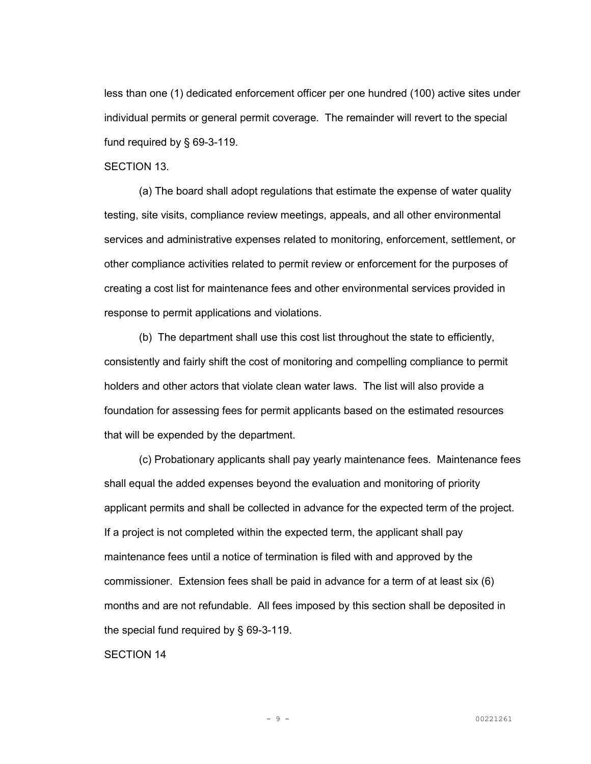less than one (1) dedicated enforcement officer per one hundred (100) active sites under individual permits or general permit coverage. The remainder will revert to the special fund required by § 69-3-119.

## SECTION 13.

(a) The board shall adopt regulations that estimate the expense of water quality testing, site visits, compliance review meetings, appeals, and all other environmental services and administrative expenses related to monitoring, enforcement, settlement, or other compliance activities related to permit review or enforcement for the purposes of creating a cost list for maintenance fees and other environmental services provided in response to permit applications and violations.

(b) The department shall use this cost list throughout the state to efficiently, consistently and fairly shift the cost of monitoring and compelling compliance to permit holders and other actors that violate clean water laws. The list will also provide a foundation for assessing fees for permit applicants based on the estimated resources that will be expended by the department.

(c) Probationary applicants shall pay yearly maintenance fees. Maintenance fees shall equal the added expenses beyond the evaluation and monitoring of priority applicant permits and shall be collected in advance for the expected term of the project. If a project is not completed within the expected term, the applicant shall pay maintenance fees until a notice of termination is filed with and approved by the commissioner. Extension fees shall be paid in advance for a term of at least six (6) months and are not refundable. All fees imposed by this section shall be deposited in the special fund required by § 69-3-119.

SECTION 14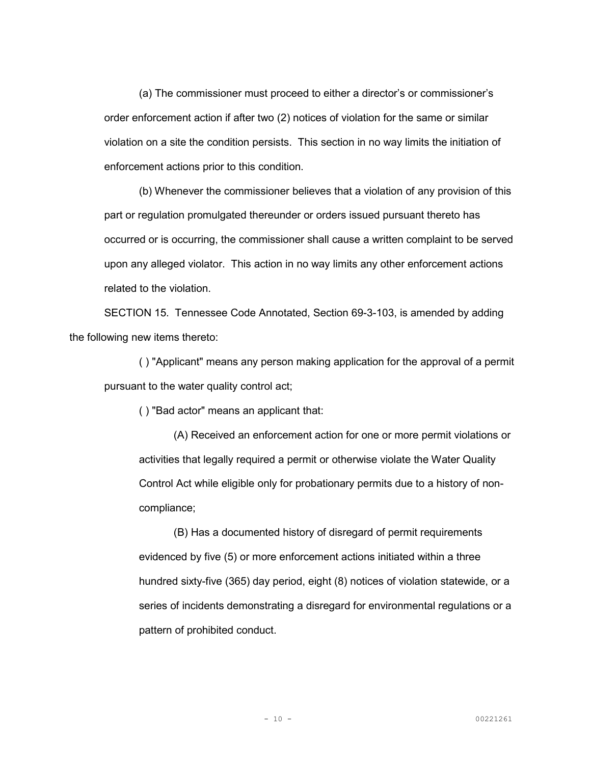(a) The commissioner must proceed to either a director's or commissioner's order enforcement action if after two (2) notices of violation for the same or similar violation on a site the condition persists. This section in no way limits the initiation of enforcement actions prior to this condition.

(b) Whenever the commissioner believes that a violation of any provision of this part or regulation promulgated thereunder or orders issued pursuant thereto has occurred or is occurring, the commissioner shall cause a written complaint to be served upon any alleged violator. This action in no way limits any other enforcement actions related to the violation.

SECTION 15. Tennessee Code Annotated, Section 69-3-103, is amended by adding the following new items thereto:

 ( ) "Applicant" means any person making application for the approval of a permit pursuant to the water quality control act;

( ) "Bad actor" means an applicant that:

 (A) Received an enforcement action for one or more permit violations or activities that legally required a permit or otherwise violate the Water Quality Control Act while eligible only for probationary permits due to a history of noncompliance;

 (B) Has a documented history of disregard of permit requirements evidenced by five (5) or more enforcement actions initiated within a three hundred sixty-five (365) day period, eight (8) notices of violation statewide, or a series of incidents demonstrating a disregard for environmental regulations or a pattern of prohibited conduct.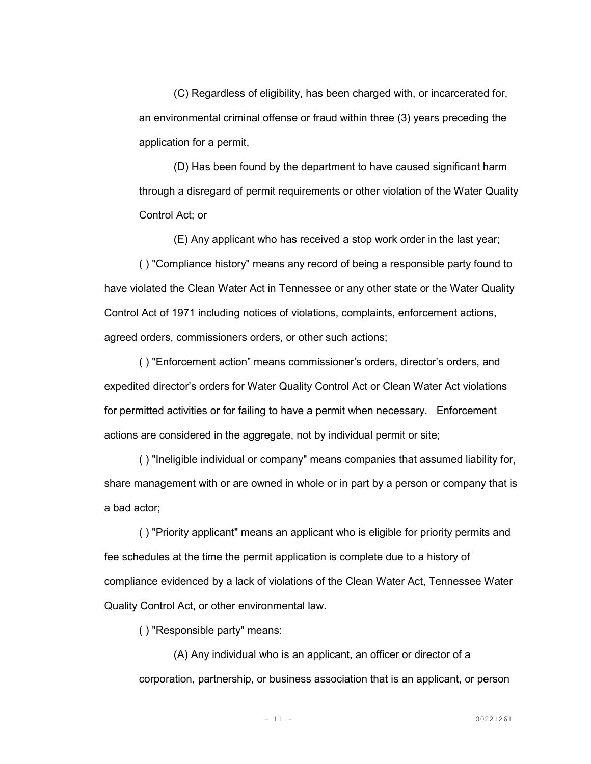(C) Regardless of eligibility, has been charged with, or incarcerated for, an environmental criminal offense or fraud within three (3) years preceding the application for a permit,

 (D) Has been found by the department to have caused significant harm through a disregard of permit requirements or other violation of the Water Quality Control Act; or

(E) Any applicant who has received a stop work order in the last year;

 ( ) "Compliance history" means any record of being a responsible party found to have violated the Clean Water Act in Tennessee or any other state or the Water Quality Control Act of 1971 including notices of violations, complaints, enforcement actions, agreed orders, commissioners orders, or other such actions;

 ( ) "Enforcement action" means commissioner's orders, director's orders, and expedited director's orders for Water Quality Control Act or Clean Water Act violations for permitted activities or for failing to have a permit when necessary. Enforcement actions are considered in the aggregate, not by individual permit or site;

 ( ) "Ineligible individual or company" means companies that assumed liability for, share management with or are owned in whole or in part by a person or company that is a bad actor;

 ( ) "Priority applicant" means an applicant who is eligible for priority permits and fee schedules at the time the permit application is complete due to a history of compliance evidenced by a lack of violations of the Clean Water Act, Tennessee Water Quality Control Act, or other environmental law.

( ) "Responsible party" means:

 (A) Any individual who is an applicant, an officer or director of a corporation, partnership, or business association that is an applicant, or person

- 11 - 00221261